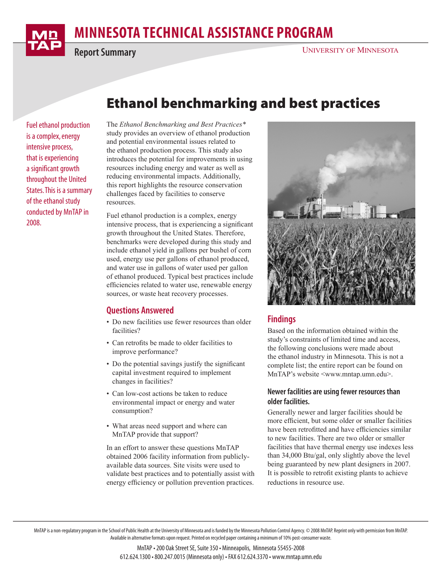# **MINNESOTA TECHNICAL ASSISTANCE PROGRAM**

**Report Summary**

## Ethanol benchmarking and best practices

Fuel ethanol production is a complex, energy intensive process, that is experiencing a significant growth throughout the United States. This is a summary of the ethanol study conducted by MnTAP in 2008.

The *Ethanol Benchmarking and Best Practices\** study provides an overview of ethanol production and potential environmental issues related to the ethanol production process. This study also introduces the potential for improvements in using resources including energy and water as well as reducing environmental impacts. Additionally, this report highlights the resource conservation challenges faced by facilities to conserve resources.

Fuel ethanol production is a complex, energy intensive process, that is experiencing a significant growth throughout the United States. Therefore, benchmarks were developed during this study and include ethanol yield in gallons per bushel of corn used, energy use per gallons of ethanol produced, and water use in gallons of water used per gallon of ethanol produced. Typical best practices include efficiencies related to water use, renewable energy sources, or waste heat recovery processes.

### **Questions Answered**

- Do new facilities use fewer resources than older facilities?
- Can retrofits be made to older facilities to improve performance?
- Do the potential savings justify the significant capital investment required to implement changes in facilities?
- Can low-cost actions be taken to reduce environmental impact or energy and water consumption?
- What areas need support and where can MnTAP provide that support?

In an effort to answer these questions MnTAP obtained 2006 facility information from publiclyavailable data sources. Site visits were used to validate best practices and to potentially assist with energy efficiency or pollution prevention practices.



## **Findings**

Based on the information obtained within the study's constraints of limited time and access, the following conclusions were made about the ethanol industry in Minnesota. This is not a complete list; the entire report can be found on MnTAP's website <www.mntap.umn.edu>.

#### **Newer facilities are using fewer resources than older facilities.**

Generally newer and larger facilities should be more efficient, but some older or smaller facilities have been retrofitted and have efficiencies similar to new facilities. There are two older or smaller facilities that have thermal energy use indexes less than 34,000 Btu/gal, only slightly above the level being guaranteed by new plant designers in 2007. It is possible to retrofit existing plants to achieve reductions in resource use.

MnTAP is a non-regulatory program in the School of Public Health at the University of Minnesota and is funded by the Minnesota Pollution Control Agency. © 2008 MnTAP. Reprint only with permission from MnTAP. Available in alternative formats upon request. Printed on recycled paper containing a minimum of 10% post-consumer waste.